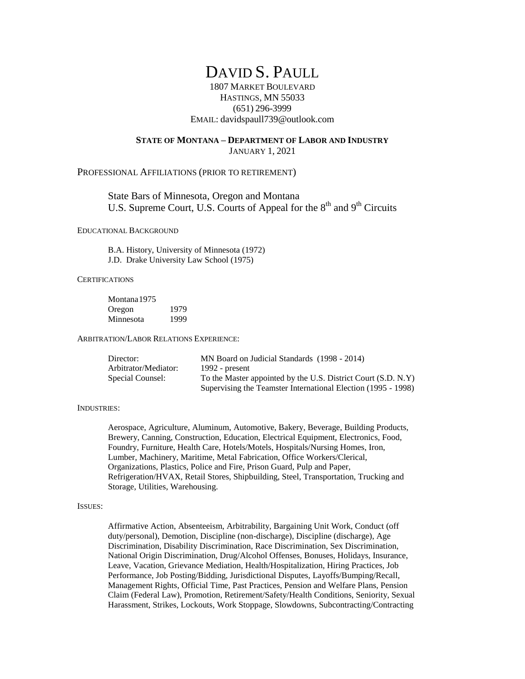# DAVID S. PAULL

1807 MARKET BOULEVARD HASTINGS, MN 55033 (651) 296-3999 EMAIL: davidspaull739@outlook.com

## **STATE OF MONTANA – DEPARTMENT OF LABOR AND INDUSTRY**

JANUARY 1, 2021

## PROFESSIONAL AFFILIATIONS (PRIOR TO RETIREMENT)

State Bars of Minnesota, Oregon and Montana U.S. Supreme Court, U.S. Courts of Appeal for the  $8<sup>th</sup>$  and  $9<sup>th</sup>$  Circuits

### EDUCATIONAL BACKGROUND

B.A. History, University of Minnesota (1972) J.D. Drake University Law School (1975)

## **CERTIFICATIONS**

Montana1975 Oregon 1979 Minnesota 1999

ARBITRATION/LABOR RELATIONS EXPERIENCE:

| Director:            | MN Board on Judicial Standards (1998 - 2014)                  |
|----------------------|---------------------------------------------------------------|
| Arbitrator/Mediator: | 1992 - $present$                                              |
| Special Counsel:     | To the Master appointed by the U.S. District Court (S.D. N.Y) |
|                      | Supervising the Teamster International Election (1995 - 1998) |

#### INDUSTRIES:

Aerospace, Agriculture, Aluminum, Automotive, Bakery, Beverage, Building Products, Brewery, Canning, Construction, Education, Electrical Equipment, Electronics, Food, Foundry, Furniture, Health Care, Hotels/Motels, Hospitals/Nursing Homes, Iron, Lumber, Machinery, Maritime, Metal Fabrication, Office Workers/Clerical, Organizations, Plastics, Police and Fire, Prison Guard, Pulp and Paper, Refrigeration/HVAX, Retail Stores, Shipbuilding, Steel, Transportation, Trucking and Storage, Utilities, Warehousing.

#### ISSUES:

Affirmative Action, Absenteeism, Arbitrability, Bargaining Unit Work, Conduct (off duty/personal), Demotion, Discipline (non-discharge), Discipline (discharge), Age Discrimination, Disability Discrimination, Race Discrimination, Sex Discrimination, National Origin Discrimination, Drug/Alcohol Offenses, Bonuses, Holidays, Insurance, Leave, Vacation, Grievance Mediation, Health/Hospitalization, Hiring Practices, Job Performance, Job Posting/Bidding, Jurisdictional Disputes, Layoffs/Bumping/Recall, Management Rights, Official Time, Past Practices, Pension and Welfare Plans, Pension Claim (Federal Law), Promotion, Retirement/Safety/Health Conditions, Seniority, Sexual Harassment, Strikes, Lockouts, Work Stoppage, Slowdowns, Subcontracting/Contracting